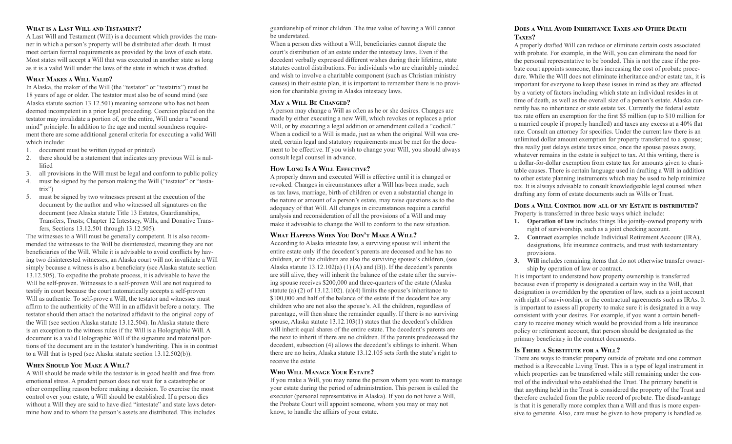# **What is a Last Will and Testament?**

A Last Will and Testament (Will) is a document which provides the manner in which a person's property will be distributed after death. It must meet certain formal requirements as provided by the laws of each state. Most states will accept a Will that was executed in another state as long as it is a valid Will under the laws of the state in which it was drafted.

### **What Makes a Will Valid?**

In Alaska, the maker of the Will (the "testator" or "testatrix") must be 18 years of age or older. The testator must also be of sound mind (see Alaska statute section 13.12.501) meaning someone who has not been deemed incompetent in a prior legal proceeding. Coercion placed on the testator may invalidate a portion of, or the entire, Will under a "sound mind" principle. In addition to the age and mental soundness requirement there are some additional general criteria for executing a valid Will which include:

- 1. document must be written (typed or printed)
- 2. there should be a statement that indicates any previous Will is nullified
- 3. all provisions in the Will must be legal and conform to public policy
- 4. must be signed by the person making the Will ("testator" or "testatrix")
- 5. must be signed by two witnesses present at the execution of the document by the author and who witnessed all signatures on the document (see Alaska statute Title 13 Estates, Guardianships, Transfers, Trusts; Chapter 12 Intestacy, Wills, and Donative Transfers, Sections 13.12.501 through 13.12.505).

The witnesses to a Will must be generally competent. It is also recommended the witnesses to the Will be disinterested, meaning they are not beneficiaries of the Will. While it is advisable to avoid conflicts by having two disinterested witnesses, an Alaska court will not invalidate a Will simply because a witness is also a beneficiary (see Alaska statute section 13.12.505). To expedite the probate process, it is advisable to have the Will be self-proven. Witnesses to a self-proven Will are not required to testify in court because the court automatically accepts a self-proven Will as authentic. To self-prove a Will, the testator and witnesses must affirm to the authenticity of the Will in an affidavit before a notary. The testator should then attach the notarized affidavit to the original copy of the Will (see section Alaska statute 13.12.504). In Alaska statute there is an exception to the witness rules if the Will is a Holographic Will. A document is a valid Holographic Will if the signature and material portions of the document are in the testator's handwriting. This is in contrast to a Will that is typed (see Alaska statute section 13.12.502(b)).

#### **When Should You Make A Will?**

A Will should be made while the testator is in good health and free from emotional stress. A prudent person does not wait for a catastrophe or other compelling reason before making a decision. To exercise the most control over your estate, a Will should be established. If a person dies without a Will they are said to have died "intestate" and state laws determine how and to whom the person's assets are distributed. This includes

guardianship of minor children. The true value of having a Will cannot be understated.

When a person dies without a Will, beneficiaries cannot dispute the court's distribution of an estate under the intestacy laws. Even if the decedent verbally expressed different wishes during their lifetime, state statutes control distributions. For individuals who are charitably minded and wish to involve a charitable component (such as Christian ministry causes) in their estate plan, it is important to remember there is no provision for charitable giving in Alaska intestacy laws.

#### **May a Will Be Changed?**

A person may change a Will as often as he or she desires. Changes are made by either executing a new Will, which revokes or replaces a prior Will, or by executing a legal addition or amendment called a "codicil." When a codicil to a Will is made, just as when the original Will was created, certain legal and statutory requirements must be met for the document to be effective. If you wish to change your Will, you should always consult legal counsel in advance.

#### **How Long Is A Will Effective?**

A properly drawn and executed Will is effective until it is changed or revoked. Changes in circumstances after a Will has been made, such as tax laws, marriage, birth of children or even a substantial change in the nature or amount of a person's estate, may raise questions as to the adequacy of that Will. All changes in circumstances require a careful analysis and reconsideration of all the provisions of a Will and may make it advisable to change the Will to conform to the new situation.

# **What Happens When You Don't Make A Will?**

According to Alaska intestate law, a surviving spouse will inherit the entire estate only if the decedent's parents are deceased and he has no children, or if the children are also the surviving spouse's children, (see Alaska statute  $13.12.102(a)$  (1) (A) and (B)). If the decedent's parents are still alive, they will inherit the balance of the estate after the surviving spouse receives \$200,000 and three-quarters of the estate (Alaska statute (a)  $(2)$  of 13.12.102). (a) $(4)$  limits the spouse's inheritance to \$100,000 and half of the balance of the estate if the decedent has any children who are not also the spouse's. All the children, regardless of parentage, will then share the remainder equally. If there is no surviving spouse, Alaska statute 13.12.103(1) states that the decedent's children will inherit equal shares of the entire estate. The decedent's parents are the next to inherit if there are no children. If the parents predeceased the decedent, subsection (4) allows the decedent's siblings to inherit. When there are no heirs, Alaska statute 13.12.105 sets forth the state's right to receive the estate.

#### **Who Will Manage Your Estate?**

If you make a Will, you may name the person whom you want to manage your estate during the period of administration. This person is called the executor (personal representative in Alaska). If you do not have a Will, the Probate Court will appoint someone, whom you may or may not know, to handle the affairs of your estate.

# **Does a Will Avoid Inheritance Taxes and Other Death Taxes?**

A properly drafted Will can reduce or eliminate certain costs associated with probate. For example, in the Will, you can eliminate the need for the personal representative to be bonded. This is not the case if the probate court appoints someone, thus increasing the cost of probate procedure. While the Will does not eliminate inheritance and/or estate tax, it is important for everyone to keep these issues in mind as they are affected by a variety of factors including which state an individual resides in at time of death, as well as the overall size of a person's estate. Alaska currently has no inheritance or state estate tax. Currently the federal estate tax rate offers an exemption for the first \$5 million (up to \$10 million for a married couple if properly handled) and taxes any excess at a 40% flat rate. Consult an attorney for specifics. Under the current law there is an unlimited dollar amount exemption for property transferred to a spouse; this really just delays estate taxes since, once the spouse passes away, whatever remains in the estate is subject to tax. At this writing, there is a dollar-for-dollar exemption from estate tax for amounts given to charitable causes. There is certain language used in drafting a Will in addition to other estate planning instruments which may be used to help minimize tax. It is always advisable to consult knowledgeable legal counsel when drafting any form of estate documents such as Wills or Trust.

# **Does a Will Control how all of my Estate is distributed?**

Property is transferred in three basic ways which include:

- **1. Operation of law** includes things like jointly-owned property with right of survivorship, such as a joint checking account.
- **2. Contract** examples include Individual Retirement Account (IRA), designations, life insurance contracts, and trust with testamentary provisions.
- **3. Will** includes remaining items that do not otherwise transfer ownership by operation of law or contract.

It is important to understand how property ownership is transferred because even if property is designated a certain way in the Will, that designation is overridden by the operation of law, such as a joint account with right of survivorship, or the contractual agreements such as IRAs. It is important to assess all property to make sure it is designated in a way consistent with your desires. For example, if you want a certain beneficiary to receive money which would be provided from a life insurance policy or retirement account, that person should be designated as the primary beneficiary in the contract documents.

#### **Is There <sup>a</sup> Substitute for a Will?**

There are ways to transfer property outside of probate and one common method is a Revocable Living Trust. This is a type of legal instrument in which properties can be transferred while still remaining under the control of the individual who established the Trust. The primary benefit is that anything held in the Trust is considered the property of the Trust and therefore excluded from the public record of probate. The disadvantage is that it is generally more complex than a Will and thus is more expensive to generate. Also, care must be given to how property is handled as